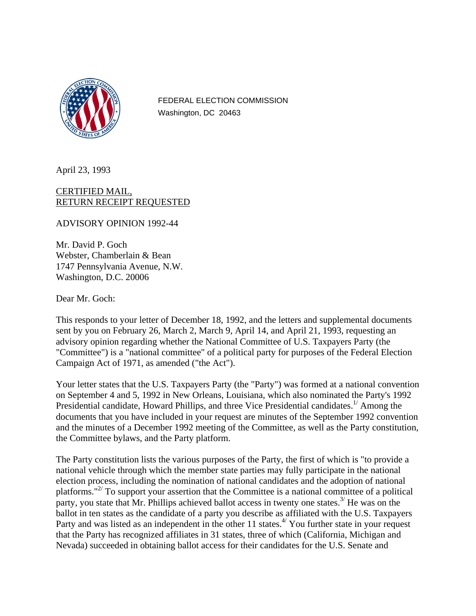

FEDERAL ELECTION COMMISSION Washington, DC 20463

April 23, 1993

CERTIFIED MAIL, RETURN RECEIPT REQUESTED

ADVISORY OPINION 1992-44

Mr. David P. Goch Webster, Chamberlain & Bean 1747 Pennsylvania Avenue, N.W. Washington, D.C. 20006

Dear Mr. Goch:

This responds to your letter of December 18, 1992, and the letters and supplemental documents sent by you on February 26, March 2, March 9, April 14, and April 21, 1993, requesting an advisory opinion regarding whether the National Committee of U.S. Taxpayers Party (the "Committee") is a "national committee" of a political party for purposes of the Federal Election Campaign Act of 1971, as amended ("the Act").

Your letter states that the U.S. Taxpayers Party (the "Party") was formed at a national convention on September 4 and 5, 1992 in New Orleans, Louisiana, which also nominated the Party's 1992 Presidential candidate, Howard Phillips, and three Vice Presidential candidates.<sup>1/</sup> Among the documents that you have included in your request are minutes of the September 1992 convention and the minutes of a December 1992 meeting of the Committee, as well as the Party constitution, the Committee bylaws, and the Party platform.

The Party constitution lists the various purposes of the Party, the first of which is "to provide a national vehicle through which the member state parties may fully participate in the national election process, including the nomination of national candidates and the adoption of national platforms."<sup>27</sup> To support your assertion that the Committee is a national committee of a political party, you state that Mr. Phillips achieved ballot access in twenty one states.<sup>3/</sup> He was on the ballot in ten states as the candidate of a party you describe as affiliated with the U.S. Taxpayers Party and was listed as an independent in the other 11 states.<sup> $4/$ </sup> You further state in your request that the Party has recognized affiliates in 31 states, three of which (California, Michigan and Nevada) succeeded in obtaining ballot access for their candidates for the U.S. Senate and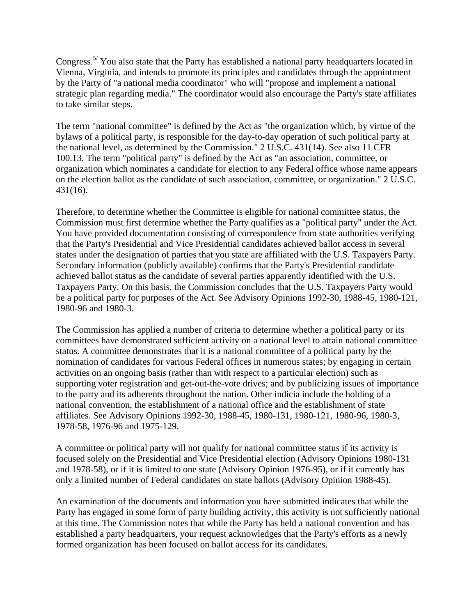Congress.<sup>5/</sup> You also state that the Party has established a national party headquarters located in Vienna, Virginia, and intends to promote its principles and candidates through the appointment by the Party of "a national media coordinator" who will "propose and implement a national strategic plan regarding media." The coordinator would also encourage the Party's state affiliates to take similar steps.

The term "national committee" is defined by the Act as "the organization which, by virtue of the bylaws of a political party, is responsible for the day-to-day operation of such political party at the national level, as determined by the Commission." 2 U.S.C. 431(14). See also 11 CFR 100.13. The term "political party" is defined by the Act as "an association, committee, or organization which nominates a candidate for election to any Federal office whose name appears on the election ballot as the candidate of such association, committee, or organization." 2 U.S.C. 431(16).

Therefore, to determine whether the Committee is eligible for national committee status, the Commission must first determine whether the Party qualifies as a "political party" under the Act. You have provided documentation consisting of correspondence from state authorities verifying that the Party's Presidential and Vice Presidential candidates achieved ballot access in several states under the designation of parties that you state are affiliated with the U.S. Taxpayers Party. Secondary information (publicly available) confirms that the Party's Presidential candidate achieved ballot status as the candidate of several parties apparently identified with the U.S. Taxpayers Party. On this basis, the Commission concludes that the U.S. Taxpayers Party would be a political party for purposes of the Act. See Advisory Opinions 1992-30, 1988-45, 1980-121, 1980-96 and 1980-3.

The Commission has applied a number of criteria to determine whether a political party or its committees have demonstrated sufficient activity on a national level to attain national committee status. A committee demonstrates that it is a national committee of a political party by the nomination of candidates for various Federal offices in numerous states; by engaging in certain activities on an ongoing basis (rather than with respect to a particular election) such as supporting voter registration and get-out-the-vote drives; and by publicizing issues of importance to the party and its adherents throughout the nation. Other indicia include the holding of a national convention, the establishment of a national office and the establishment of state affiliates. See Advisory Opinions 1992-30, 1988-45, 1980-131, 1980-121, 1980-96, 1980-3, 1978-58, 1976-96 and 1975-129.

A committee or political party will not qualify for national committee status if its activity is focused solely on the Presidential and Vice Presidential election (Advisory Opinions 1980-131 and 1978-58), or if it is limited to one state (Advisory Opinion 1976-95), or if it currently has only a limited number of Federal candidates on state ballots (Advisory Opinion 1988-45).

An examination of the documents and information you have submitted indicates that while the Party has engaged in some form of party building activity, this activity is not sufficiently national at this time. The Commission notes that while the Party has held a national convention and has established a party headquarters, your request acknowledges that the Party's efforts as a newly formed organization has been focused on ballot access for its candidates.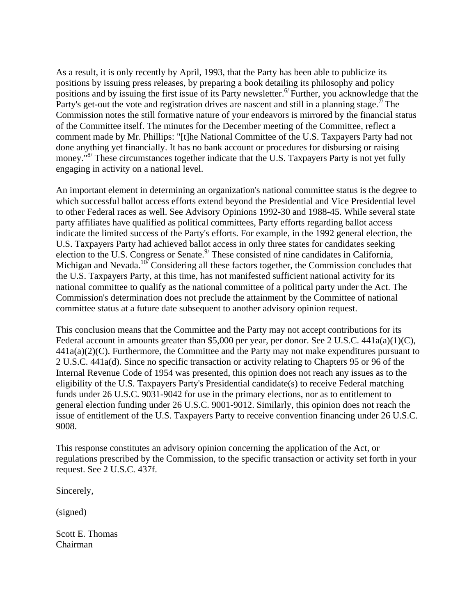As a result, it is only recently by April, 1993, that the Party has been able to publicize its positions by issuing press releases, by preparing a book detailing its philosophy and policy positions and by issuing the first issue of its Party newsletter.<sup>6</sup> Further, you acknowledge that the Party's get-out the vote and registration drives are nascent and still in a planning stage.<sup>7/</sup> The Commission notes the still formative nature of your endeavors is mirrored by the financial status of the Committee itself. The minutes for the December meeting of the Committee, reflect a comment made by Mr. Phillips: "[t]he National Committee of the U.S. Taxpayers Party had not done anything yet financially. It has no bank account or procedures for disbursing or raising money."<sup>8/</sup> These circumstances together indicate that the U.S. Taxpayers Party is not yet fully engaging in activity on a national level.

An important element in determining an organization's national committee status is the degree to which successful ballot access efforts extend beyond the Presidential and Vice Presidential level to other Federal races as well. See Advisory Opinions 1992-30 and 1988-45. While several state party affiliates have qualified as political committees, Party efforts regarding ballot access indicate the limited success of the Party's efforts. For example, in the 1992 general election, the U.S. Taxpayers Party had achieved ballot access in only three states for candidates seeking election to the U.S. Congress or Senate.<sup>9/</sup> These consisted of nine candidates in California, Michigan and Nevada.<sup>107</sup> Considering all these factors together, the Commission concludes that the U.S. Taxpayers Party, at this time, has not manifested sufficient national activity for its national committee to qualify as the national committee of a political party under the Act. The Commission's determination does not preclude the attainment by the Committee of national committee status at a future date subsequent to another advisory opinion request.

This conclusion means that the Committee and the Party may not accept contributions for its Federal account in amounts greater than \$5,000 per year, per donor. See 2 U.S.C.  $441a(a)(1)(C)$ ,  $441a(a)(2)(C)$ . Furthermore, the Committee and the Party may not make expenditures pursuant to 2 U.S.C. 441a(d). Since no specific transaction or activity relating to Chapters 95 or 96 of the Internal Revenue Code of 1954 was presented, this opinion does not reach any issues as to the eligibility of the U.S. Taxpayers Party's Presidential candidate(s) to receive Federal matching funds under 26 U.S.C. 9031-9042 for use in the primary elections, nor as to entitlement to general election funding under 26 U.S.C. 9001-9012. Similarly, this opinion does not reach the issue of entitlement of the U.S. Taxpayers Party to receive convention financing under 26 U.S.C. 9008.

This response constitutes an advisory opinion concerning the application of the Act, or regulations prescribed by the Commission, to the specific transaction or activity set forth in your request. See 2 U.S.C. 437f.

Sincerely,

(signed)

Scott E. Thomas Chairman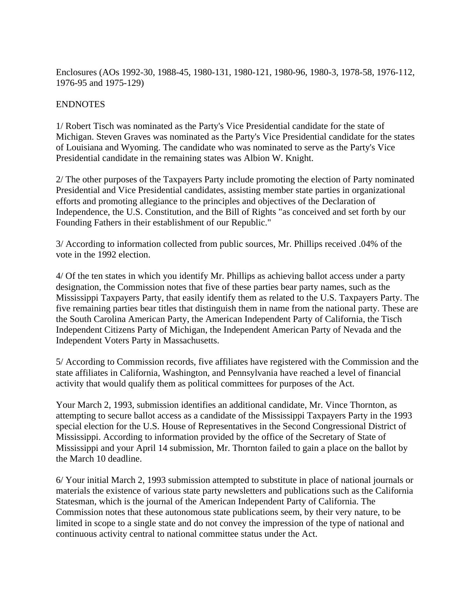Enclosures (AOs 1992-30, 1988-45, 1980-131, 1980-121, 1980-96, 1980-3, 1978-58, 1976-112, 1976-95 and 1975-129)

## ENDNOTES

1/ Robert Tisch was nominated as the Party's Vice Presidential candidate for the state of Michigan. Steven Graves was nominated as the Party's Vice Presidential candidate for the states of Louisiana and Wyoming. The candidate who was nominated to serve as the Party's Vice Presidential candidate in the remaining states was Albion W. Knight.

2/ The other purposes of the Taxpayers Party include promoting the election of Party nominated Presidential and Vice Presidential candidates, assisting member state parties in organizational efforts and promoting allegiance to the principles and objectives of the Declaration of Independence, the U.S. Constitution, and the Bill of Rights "as conceived and set forth by our Founding Fathers in their establishment of our Republic."

3/ According to information collected from public sources, Mr. Phillips received .04% of the vote in the 1992 election.

4/ Of the ten states in which you identify Mr. Phillips as achieving ballot access under a party designation, the Commission notes that five of these parties bear party names, such as the Mississippi Taxpayers Party, that easily identify them as related to the U.S. Taxpayers Party. The five remaining parties bear titles that distinguish them in name from the national party. These are the South Carolina American Party, the American Independent Party of California, the Tisch Independent Citizens Party of Michigan, the Independent American Party of Nevada and the Independent Voters Party in Massachusetts.

5/ According to Commission records, five affiliates have registered with the Commission and the state affiliates in California, Washington, and Pennsylvania have reached a level of financial activity that would qualify them as political committees for purposes of the Act.

Your March 2, 1993, submission identifies an additional candidate, Mr. Vince Thornton, as attempting to secure ballot access as a candidate of the Mississippi Taxpayers Party in the 1993 special election for the U.S. House of Representatives in the Second Congressional District of Mississippi. According to information provided by the office of the Secretary of State of Mississippi and your April 14 submission, Mr. Thornton failed to gain a place on the ballot by the March 10 deadline.

6/ Your initial March 2, 1993 submission attempted to substitute in place of national journals or materials the existence of various state party newsletters and publications such as the California Statesman, which is the journal of the American Independent Party of California. The Commission notes that these autonomous state publications seem, by their very nature, to be limited in scope to a single state and do not convey the impression of the type of national and continuous activity central to national committee status under the Act.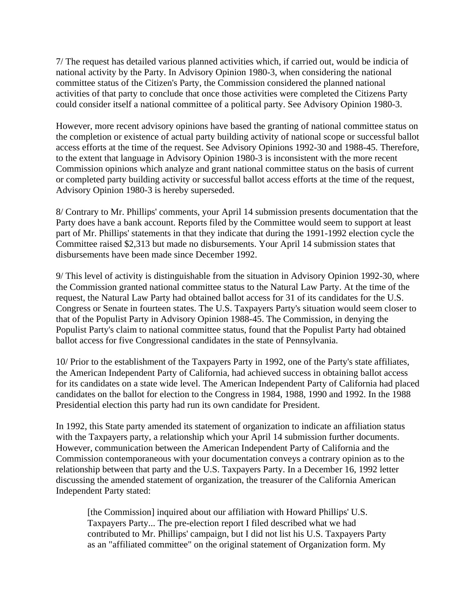7/ The request has detailed various planned activities which, if carried out, would be indicia of national activity by the Party. In Advisory Opinion 1980-3, when considering the national committee status of the Citizen's Party, the Commission considered the planned national activities of that party to conclude that once those activities were completed the Citizens Party could consider itself a national committee of a political party. See Advisory Opinion 1980-3.

However, more recent advisory opinions have based the granting of national committee status on the completion or existence of actual party building activity of national scope or successful ballot access efforts at the time of the request. See Advisory Opinions 1992-30 and 1988-45. Therefore, to the extent that language in Advisory Opinion 1980-3 is inconsistent with the more recent Commission opinions which analyze and grant national committee status on the basis of current or completed party building activity or successful ballot access efforts at the time of the request, Advisory Opinion 1980-3 is hereby superseded.

8/ Contrary to Mr. Phillips' comments, your April 14 submission presents documentation that the Party does have a bank account. Reports filed by the Committee would seem to support at least part of Mr. Phillips' statements in that they indicate that during the 1991-1992 election cycle the Committee raised \$2,313 but made no disbursements. Your April 14 submission states that disbursements have been made since December 1992.

9/ This level of activity is distinguishable from the situation in Advisory Opinion 1992-30, where the Commission granted national committee status to the Natural Law Party. At the time of the request, the Natural Law Party had obtained ballot access for 31 of its candidates for the U.S. Congress or Senate in fourteen states. The U.S. Taxpayers Party's situation would seem closer to that of the Populist Party in Advisory Opinion 1988-45. The Commission, in denying the Populist Party's claim to national committee status, found that the Populist Party had obtained ballot access for five Congressional candidates in the state of Pennsylvania.

10/ Prior to the establishment of the Taxpayers Party in 1992, one of the Party's state affiliates, the American Independent Party of California, had achieved success in obtaining ballot access for its candidates on a state wide level. The American Independent Party of California had placed candidates on the ballot for election to the Congress in 1984, 1988, 1990 and 1992. In the 1988 Presidential election this party had run its own candidate for President.

In 1992, this State party amended its statement of organization to indicate an affiliation status with the Taxpayers party, a relationship which your April 14 submission further documents. However, communication between the American Independent Party of California and the Commission contemporaneous with your documentation conveys a contrary opinion as to the relationship between that party and the U.S. Taxpayers Party. In a December 16, 1992 letter discussing the amended statement of organization, the treasurer of the California American Independent Party stated:

[the Commission] inquired about our affiliation with Howard Phillips' U.S. Taxpayers Party... The pre-election report I filed described what we had contributed to Mr. Phillips' campaign, but I did not list his U.S. Taxpayers Party as an "affiliated committee" on the original statement of Organization form. My